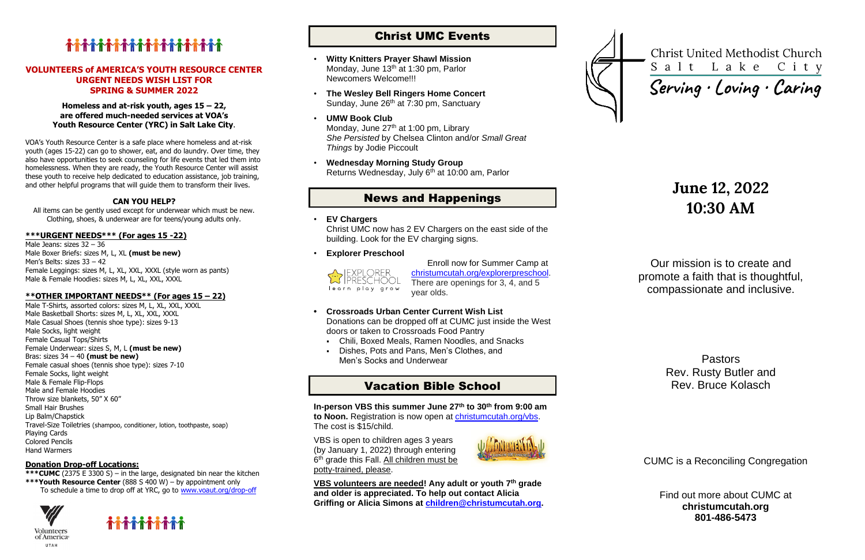# 

#### **VOLUNTEERS of AMERICA'S YOUTH RESOURCE CENTER URGENT NEEDS WISH LIST FOR SPRING & SUMMER 2022**

#### **Homeless and at-risk youth, ages 15 – 22, are offered much-needed services at VOA's Youth Resource Center (YRC) in Salt Lake City**.

VOA's Youth Resource Center is a safe place where homeless and at-risk youth (ages 15-22) can go to shower, eat, and do laundry. Over time, they also have opportunities to seek counseling for life events that led them into homelessness. When they are ready, the Youth Resource Center will assist these youth to receive help dedicated to education assistance, job training, and other helpful programs that will guide them to transform their lives.

### **CAN YOU HELP?**

All items can be gently used except for underwear which must be new. Clothing, shoes, & underwear are for teens/young adults only.

### **\*\*\*URGENT NEEDS\*\*\* (For ages 15 -22)**

Male Jeans: sizes 32 – 36 Male Boxer Briefs: sizes M, L, XL **(must be new)** Men's Belts: sizes 33 – 42 Female Leggings: sizes M, L, XL, XXL, XXXL (style worn as pants) Male & Female Hoodies: sizes M, L, XL, XXL, XXXL

- **Witty Knitters Prayer Shawl Mission** Monday, June 13<sup>th</sup> at 1:30 pm, Parlor Newcomers Welcome!!!
- **The Wesley Bell Ringers Home Concert** Sunday, June 26<sup>th</sup> at 7:30 pm, Sanctuary
- **UMW Book Club** Monday, June 27<sup>th</sup> at 1:00 pm, Library *She Persisted* by Chelsea Clinton and/or *Small Great Things* by Jodie Piccoult
- **Wednesday Morning Study Group** Returns Wednesday, July 6<sup>th</sup> at 10:00 am, Parlor

### **\*\*OTHER IMPORTANT NEEDS\*\* (For ages 15 – 22)**

Male T-Shirts, assorted colors: sizes M, L, XL, XXL, XXXL Male Basketball Shorts: sizes M, L, XL, XXL, XXXL Male Casual Shoes (tennis shoe type): sizes 9-13 Male Socks, light weight Female Casual Tops/Shirts Female Underwear: sizes S, M, L **(must be new)** Bras: sizes 34 – 40 **(must be new)** Female casual shoes (tennis shoe type): sizes 7-10 Female Socks, light weight Male & Female Flip-Flops Male and Female Hoodies Throw size blankets, 50" X 60" Small Hair Brushes Lip Balm/Chapstick Travel-Size Toiletries (shampoo, conditioner, lotion, toothpaste, soap) Playing Cards Colored Pencils Hand Warmers

### **Donation Drop-off Locations:**

**\*\*\*CUMC** (2375 E 3300 S) – in the large, designated bin near the kitchen **\*\*\*Youth Resource Center** (888 S 400 W) – by appointment only To schedule a time to drop off at YRC, go to [www.voaut.org/drop-off](http://www.voaut.org/drop-off)



**Volunteers** of America UTAH



# Christ UMC Events

## News and Happenings

• **EV Chargers**

Christ UMC now has 2 EV Chargers on the east side of the building. Look for the EV charging signs.

• **Explorer Preschool**

learn play grow

Enroll now for Summer Camp at ch[ristumcutah.org/explorerpreschool.](file://///CUMC-DC01/data/CUMCData/CommonFolder/Bulletins/2022%20Bulletins/01%20January/christumcutah.org/discoveryplacepreschool) There are openings for 3, 4, and 5 year olds.

- **• Crossroads Urban Center Current Wish List** Donations can be dropped off at CUMC just inside the West doors or taken to Crossroads Food Pantry
	- Chili, Boxed Meals, Ramen Noodles, and Snacks
	- Dishes, Pots and Pans, Men's Clothes, and Men's Socks and Underwear

# Vacation Bible School

**In-person VBS this summer June 27th to 30th from 9:00 am to Noon.** Registration is now open at [christumcutah.org/vbs.](http://www.christumcutah.org/vbs) The cost is \$15/child.

VBS is open to children ages 3 years (by January 1, 2022) through entering 6<sup>th</sup> grade this Fall. All children must be potty-trained, please.



**VBS volunteers are needed! Any adult or youth 7th grade and older is appreciated. To help out contact Alicia Griffing or Alicia Simons at [children@christumcutah.org.](mailto:children@christumcutah.org)**



**Christ United Methodist Church** Salt Lake City

Serving · Loving · Caring

# **June 12, 2022 10:30 AM**

Our mission is to create and promote a faith that is thoughtful, compassionate and inclusive.

> Pastors Rev. Rusty Butler and Rev. Bruce Kolasch

CUMC is a Reconciling Congregation

Find out more about CUMC at **christumcutah.org 801-486-5473**